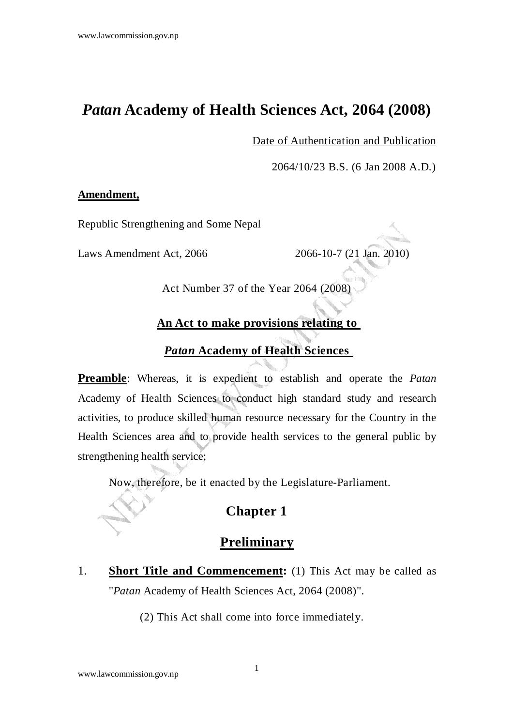# *Patan* **Academy of Health Sciences Act, 2064 (2008)**

Date of Authentication and Publication

2064/10/23 B.S. (6 Jan 2008 A.D.)

#### **Amendment,**

Republic Strengthening and Some Nepal

Laws Amendment Act, 2066 2066-10-7 (21 Jan. 2010)

Act Number 37 of the Year 2064 (2008)

#### **An Act to make provisions relating to**

#### *Patan* **Academy of Health Sciences**

**Preamble**: Whereas, it is expedient to establish and operate the *Patan* Academy of Health Sciences to conduct high standard study and research activities, to produce skilled human resource necessary for the Country in the Health Sciences area and to provide health services to the general public by strengthening health service;

Now, therefore, be it enacted by the Legislature-Parliament.

## **Chapter 1**

## **Preliminary**

1. **Short Title and Commencement:** (1) This Act may be called as "*Patan* Academy of Health Sciences Act, 2064 (2008)".

(2) This Act shall come into force immediately.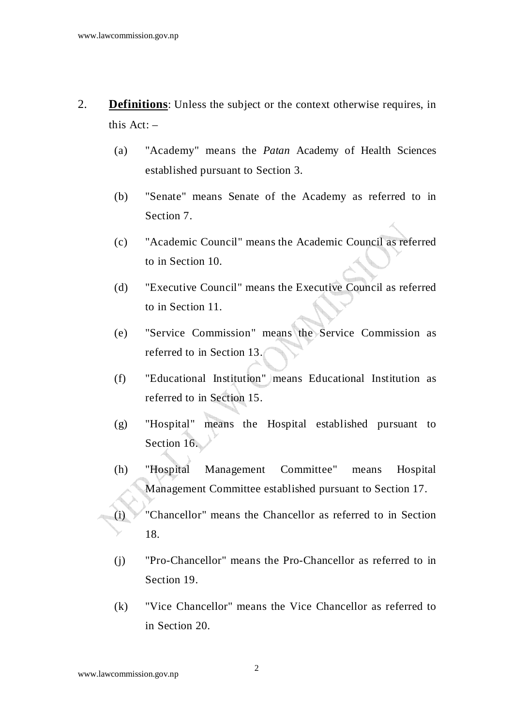- 2. **Definitions**: Unless the subject or the context otherwise requires, in this Act: –
	- (a) "Academy" means the *Patan* Academy of Health Sciences established pursuant to Section 3.
	- (b) "Senate" means Senate of the Academy as referred to in Section 7.
	- (c) "Academic Council" means the Academic Council as referred to in Section 10.
	- (d) "Executive Council" means the Executive Council as referred to in Section 11.
	- (e) "Service Commission" means the Service Commission as referred to in Section 13.
	- (f) "Educational Institution" means Educational Institution as referred to in Section 15.
	- (g) "Hospital" means the Hospital established pursuant to Section 16.
	- (h) "Hospital Management Committee" means Hospital Management Committee established pursuant to Section 17.
	- (i) "Chancellor" means the Chancellor as referred to in Section 18.
	- (j) "Pro-Chancellor" means the Pro-Chancellor as referred to in Section 19.
	- (k) "Vice Chancellor" means the Vice Chancellor as referred to in Section 20.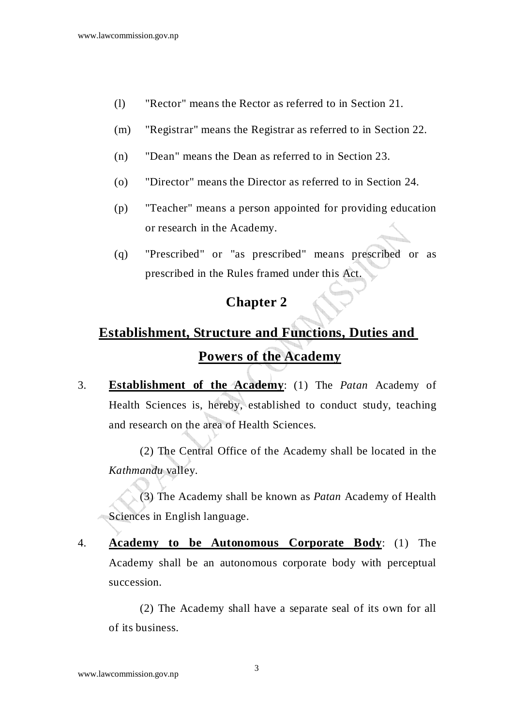- (l) "Rector" means the Rector as referred to in Section 21.
- (m) "Registrar" means the Registrar as referred to in Section 22.
- (n) "Dean" means the Dean as referred to in Section 23.
- (o) "Director" means the Director as referred to in Section 24.
- (p) "Teacher" means a person appointed for providing education or research in the Academy.
- (q) "Prescribed" or "as prescribed" means prescribed or as prescribed in the Rules framed under this Act.

# **Establishment, Structure and Functions, Duties and Powers of the Academy**

3. **Establishment of the Academy**: (1) The *Patan* Academy of Health Sciences is, hereby, established to conduct study, teaching and research on the area of Health Sciences.

 (2) The Central Office of the Academy shall be located in the *Kathmandu* valley.

 (3) The Academy shall be known as *Patan* Academy of Health Sciences in English language.

4. **Academy to be Autonomous Corporate Body**: (1) The Academy shall be an autonomous corporate body with perceptual succession.

 (2) The Academy shall have a separate seal of its own for all of its business.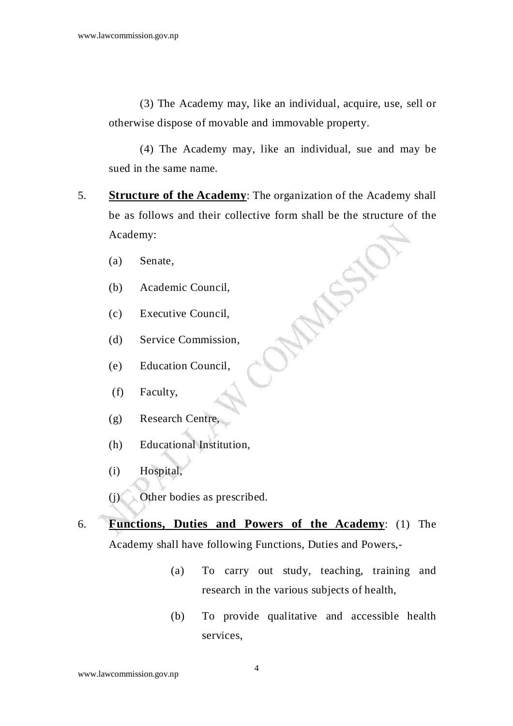(3) The Academy may, like an individual, acquire, use, sell or otherwise dispose of movable and immovable property.

 (4) The Academy may, like an individual, sue and may be sued in the same name.

- 5. **Structure of the Academy**: The organization of the Academy shall be as follows and their collective form shall be the structure of the Academy:
	- (a) Senate,
	- (b) Academic Council,
	- (c) Executive Council,
	- (d) Service Commission,
	- (e) Education Council,
	- (f) Faculty,
	- (g) Research Centre,
	- (h) Educational Institution,
	- (i) Hospital,
	- (j) Other bodies as prescribed.
- 6. **Functions, Duties and Powers of the Academy**: (1) The Academy shall have following Functions, Duties and Powers,-
	- (a) To carry out study, teaching, training and research in the various subjects of health,
	- (b) To provide qualitative and accessible health services,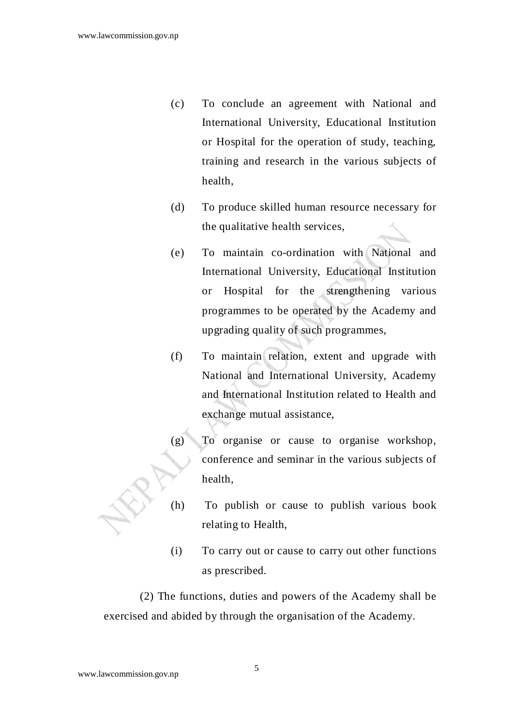- (c) To conclude an agreement with National and International University, Educational Institution or Hospital for the operation of study, teaching, training and research in the various subjects of health,
- (d) To produce skilled human resource necessary for the qualitative health services,
- (e) To maintain co-ordination with National and International University, Educational Institution or Hospital for the strengthening various programmes to be operated by the Academy and upgrading quality of such programmes,
- (f) To maintain relation, extent and upgrade with National and International University, Academy and International Institution related to Health and exchange mutual assistance,
- (g) To organise or cause to organise workshop, conference and seminar in the various subjects of health,
- (h) To publish or cause to publish various book relating to Health,
- (i) To carry out or cause to carry out other functions as prescribed.

(2) The functions, duties and powers of the Academy shall be exercised and abided by through the organisation of the Academy.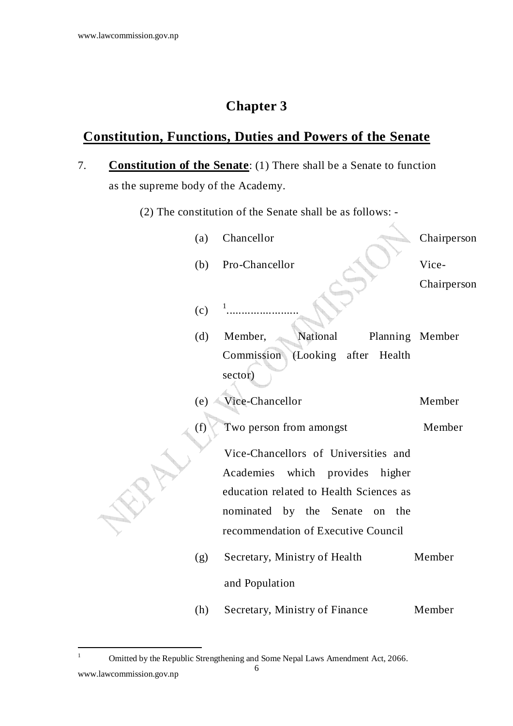## **Constitution, Functions, Duties and Powers of the Senate**

- 7. **Constitution of the Senate**: (1) There shall be a Senate to function as the supreme body of the Academy.
	- (2) The constitution of the Senate shall be as follows: -

Á.

| (a) | Chancellor                                        | Chairperson     |
|-----|---------------------------------------------------|-----------------|
| (b) | Pro-Chancellor                                    | Vice-           |
|     |                                                   | Chairperson     |
| (c) |                                                   |                 |
| (d) | National<br>Member,                               | Planning Member |
|     | Commission<br>(Looking<br>after Health<br>sector) |                 |
|     |                                                   |                 |
| (e) | Vice-Chancellor                                   | Member          |
| (f) | Two person from amongst                           | Member          |
|     | Vice-Chancellors of Universities and              |                 |
|     | Academies<br>which provides higher                |                 |
|     | education related to Health Sciences as           |                 |
|     | nominated by the Senate<br>on the                 |                 |
|     | recommendation of Executive Council               |                 |
| (g) | Secretary, Ministry of Health                     | Member          |
|     | and Population                                    |                 |
| (h) | Secretary, Ministry of Finance                    | Member          |

<sup>1</sup> Omitted by the Republic Strengthening and Some Nepal Laws Amendment Act, 2066.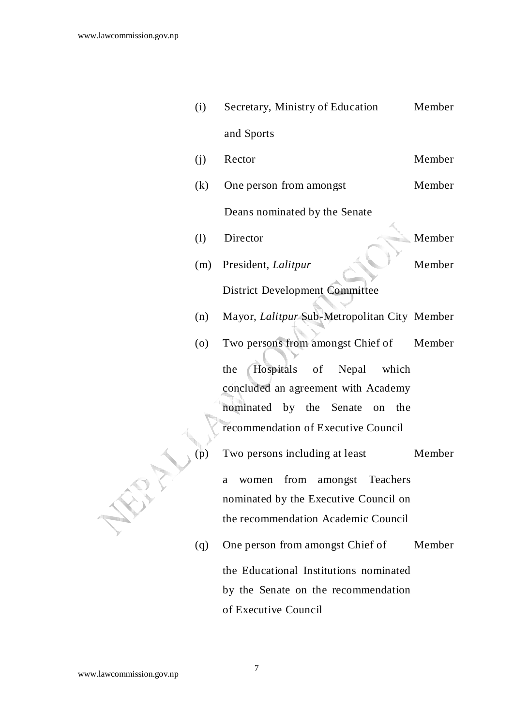| (i) | Secretary, Ministry of Education             | Member |
|-----|----------------------------------------------|--------|
|     | and Sports                                   |        |
| (j) | Rector                                       | Member |
| (k) | One person from amongst                      | Member |
|     | Deans nominated by the Senate                |        |
| (1) | Director                                     | Member |
| (m) | President, Lalitpur                          | Member |
|     | <b>District Development Committee</b>        |        |
| (n) | Mayor, Lalitpur Sub-Metropolitan City Member |        |
| (0) | Two persons from amongst Chief of            | Member |
|     | Hospitals of Nepal which<br>the              |        |
|     | concluded an agreement with Academy          |        |
|     | nominated by the<br>Senate<br>the<br>on      |        |
|     | recommendation of Executive Council          |        |
| (p) | Two persons including at least               | Member |
|     | Teachers<br>from<br>amongst<br>women<br>a    |        |
|     | nominated by the Executive Council on        |        |
|     | the recommendation Academic Council          |        |
| (q) | One person from amongst Chief of             | Member |
|     | the Educational Institutions nominated       |        |
|     | by the Senate on the recommendation          |        |

www.lawcommission.gov.np

of Executive Council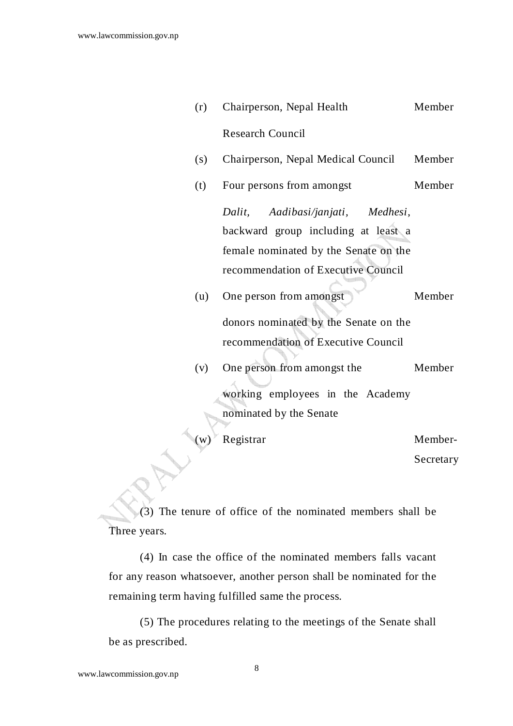| (r)         | Chairperson, Nepal Health             | Member    |
|-------------|---------------------------------------|-----------|
|             | <b>Research Council</b>               |           |
| (s)         | Chairperson, Nepal Medical Council    | Member    |
| (t)         | Four persons from amongst             | Member    |
|             | Dalit, Aadibasi/janjati, Medhesi,     |           |
|             | backward group including at least a   |           |
|             | female nominated by the Senate on the |           |
|             | recommendation of Executive Council   |           |
| (u)         | One person from amongst               | Member    |
|             | donors nominated by the Senate on the |           |
|             | recommendation of Executive Council   |           |
| (v)         | One person from amongst the           | Member    |
|             | working employees in the Academy      |           |
|             | nominated by the Senate               |           |
| $\mathbf W$ | Registrar                             | Member-   |
|             |                                       |           |
|             |                                       | Secretary |

(3) The tenure of office of the nominated members shall be Three years.

 (4) In case the office of the nominated members falls vacant for any reason whatsoever, another person shall be nominated for the remaining term having fulfilled same the process.

 (5) The procedures relating to the meetings of the Senate shall be as prescribed.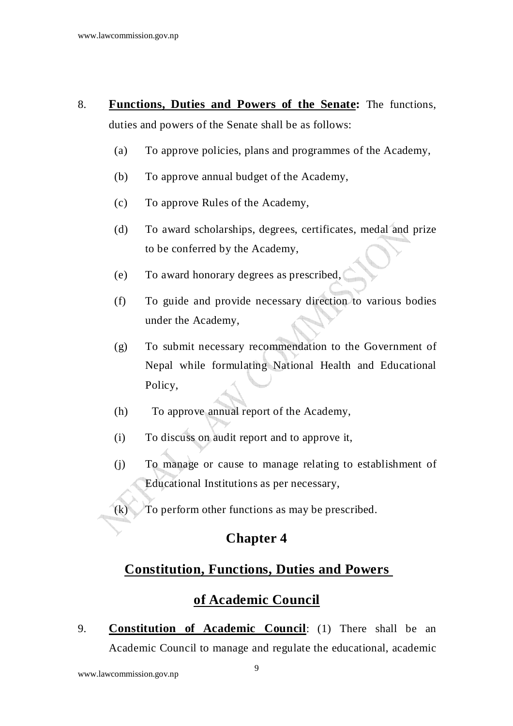- 8. **Functions, Duties and Powers of the Senate:** The functions, duties and powers of the Senate shall be as follows:
	- (a) To approve policies, plans and programmes of the Academy,
	- (b) To approve annual budget of the Academy,
	- (c) To approve Rules of the Academy,
	- (d) To award scholarships, degrees, certificates, medal and prize to be conferred by the Academy,
	- (e) To award honorary degrees as prescribed,
	- (f) To guide and provide necessary direction to various bodies under the Academy,
	- (g) To submit necessary recommendation to the Government of Nepal while formulating National Health and Educational Policy,
	- (h) To approve annual report of the Academy,
	- (i) To discuss on audit report and to approve it,
	- (j) To manage or cause to manage relating to establishment of Educational Institutions as per necessary,
	- (k) To perform other functions as may be prescribed.

#### **Constitution, Functions, Duties and Powers**

#### **of Academic Council**

9. **Constitution of Academic Council**: (1) There shall be an Academic Council to manage and regulate the educational, academic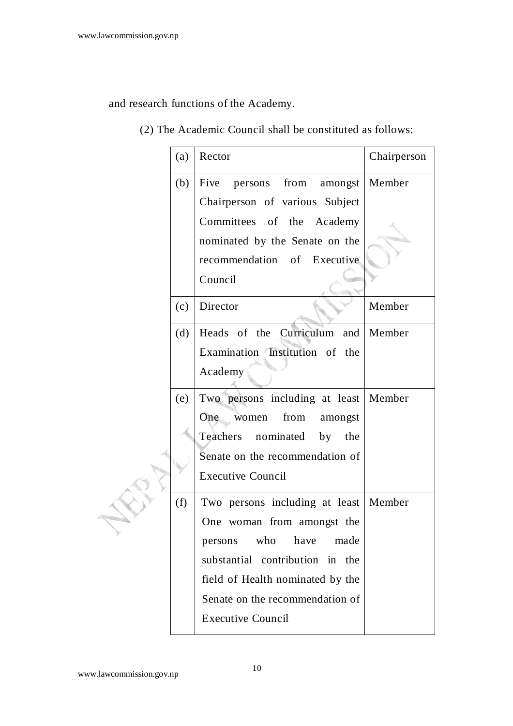and research functions of the Academy.

#### (2) The Academic Council shall be constituted as follows:

|  | (a) | Rector                             | Chairperson |
|--|-----|------------------------------------|-------------|
|  | (b) | persons from amongst<br>Five       | Member      |
|  |     | Chairperson of various Subject     |             |
|  |     | Committees of the Academy          |             |
|  |     | nominated by the Senate on the     |             |
|  |     | recommendation of Executive        |             |
|  |     | Council                            |             |
|  | (c) | Director                           | Member      |
|  | (d) | Heads of the Curriculum and Member |             |
|  |     | Examination Institution of the     |             |
|  |     | Academy                            |             |
|  | (e) | Two persons including at least     | Member      |
|  |     | from<br>One<br>women<br>amongst    |             |
|  |     | Teachers nominated by the          |             |
|  |     | Senate on the recommendation of    |             |
|  |     | <b>Executive Council</b>           |             |
|  | (f) | Two persons including at least     | Member      |
|  |     | One woman from amongst the         |             |
|  |     | who<br>have<br>made<br>persons     |             |
|  |     | substantial contribution in the    |             |
|  |     | field of Health nominated by the   |             |
|  |     | Senate on the recommendation of    |             |
|  |     | <b>Executive Council</b>           |             |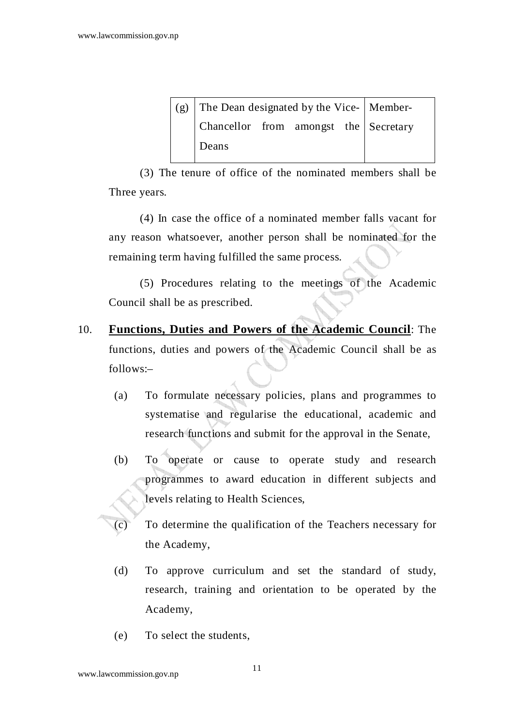| (g) The Dean designated by the Vice- Member- |  |  |  |  |
|----------------------------------------------|--|--|--|--|
| Chancellor from amongst the Secretary        |  |  |  |  |
| Deans                                        |  |  |  |  |

 (3) The tenure of office of the nominated members shall be Three years.

 (4) In case the office of a nominated member falls vacant for any reason whatsoever, another person shall be nominated for the remaining term having fulfilled the same process.

 (5) Procedures relating to the meetings of the Academic Council shall be as prescribed.

- 10. **Functions, Duties and Powers of the Academic Council**: The functions, duties and powers of the Academic Council shall be as follows:–
	- (a) To formulate necessary policies, plans and programmes to systematise and regularise the educational, academic and research functions and submit for the approval in the Senate,
	- (b) To operate or cause to operate study and research programmes to award education in different subjects and levels relating to Health Sciences,
	- (c) To determine the qualification of the Teachers necessary for the Academy,
	- (d) To approve curriculum and set the standard of study, research, training and orientation to be operated by the Academy,
	- (e) To select the students,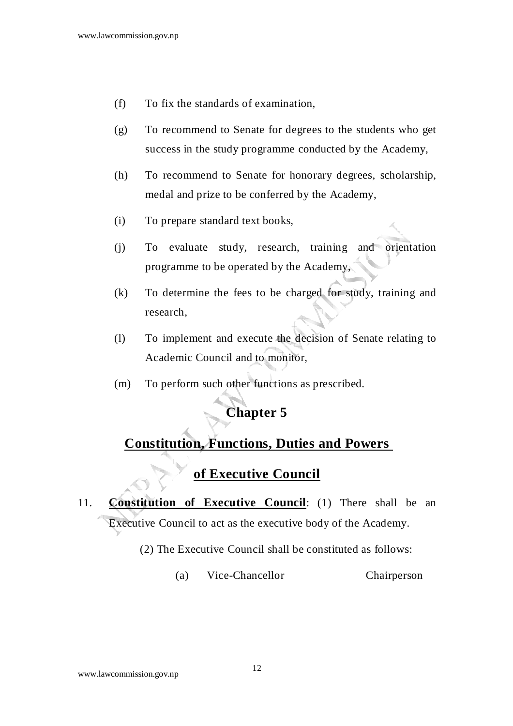- (f) To fix the standards of examination,
- (g) To recommend to Senate for degrees to the students who get success in the study programme conducted by the Academy,
- (h) To recommend to Senate for honorary degrees, scholarship, medal and prize to be conferred by the Academy,
- (i) To prepare standard text books,
- (j) To evaluate study, research, training and orientation programme to be operated by the Academy,
- (k) To determine the fees to be charged for study, training and research,
- (l) To implement and execute the decision of Senate relating to Academic Council and to monitor,
- (m) To perform such other functions as prescribed.

#### **Constitution, Functions, Duties and Powers**

#### **of Executive Council**

## 11. **Constitution of Executive Council**: (1) There shall be an Executive Council to act as the executive body of the Academy.

- (2) The Executive Council shall be constituted as follows:
	- (a) Vice-Chancellor Chairperson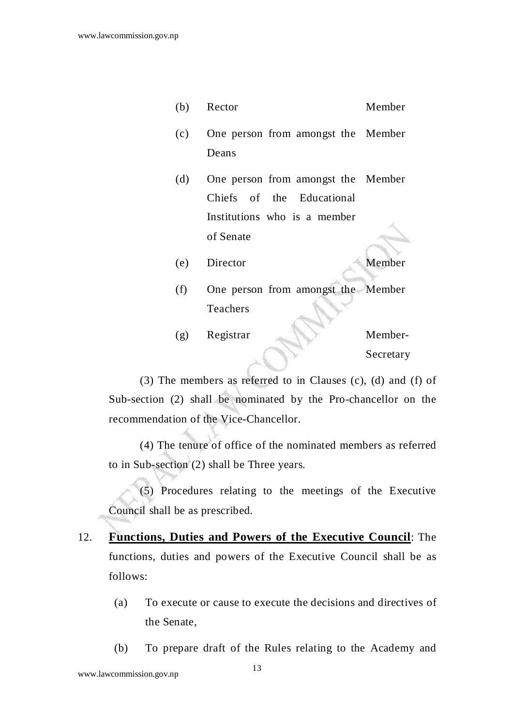- (b) Rector Member
- $(c)$ One person from amongst the Member Deans
- (d) One person from amongst the Member Chiefs of the Educational Institutions who is a member of Senate
- (e) Director Member
- (f) One person from amongst the Member Teachers
- (g) Registrar Member-Secretary

 (3) The members as referred to in Clauses (c), (d) and (f) of Sub-section (2) shall be nominated by the Pro-chancellor on the recommendation of the Vice-Chancellor.

 (4) The tenure of office of the nominated members as referred to in Sub-section (2) shall be Three years.

 (5) Procedures relating to the meetings of the Executive Council shall be as prescribed.

- 12. **Functions, Duties and Powers of the Executive Council**: The functions, duties and powers of the Executive Council shall be as follows:
	- (a) To execute or cause to execute the decisions and directives of the Senate,
	- (b) To prepare draft of the Rules relating to the Academy and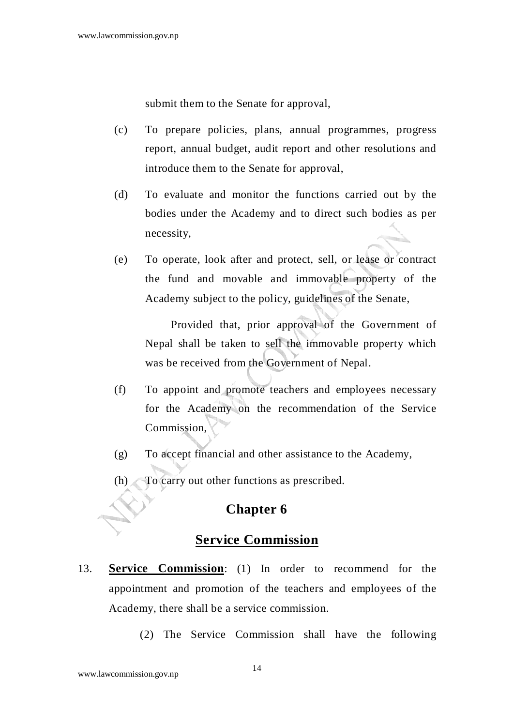submit them to the Senate for approval,

- (c) To prepare policies, plans, annual programmes, progress report, annual budget, audit report and other resolutions and introduce them to the Senate for approval,
- (d) To evaluate and monitor the functions carried out by the bodies under the Academy and to direct such bodies as per necessity,
- (e) To operate, look after and protect, sell, or lease or contract the fund and movable and immovable property of the Academy subject to the policy, guidelines of the Senate,

 Provided that, prior approval of the Government of Nepal shall be taken to sell the immovable property which was be received from the Government of Nepal.

- (f) To appoint and promote teachers and employees necessary for the Academy on the recommendation of the Service Commission,
- (g) To accept financial and other assistance to the Academy,
- (h) To carry out other functions as prescribed.

#### **Chapter 6**

#### **Service Commission**

- 13. **Service Commission**: (1) In order to recommend for the appointment and promotion of the teachers and employees of the Academy, there shall be a service commission.
	- (2) The Service Commission shall have the following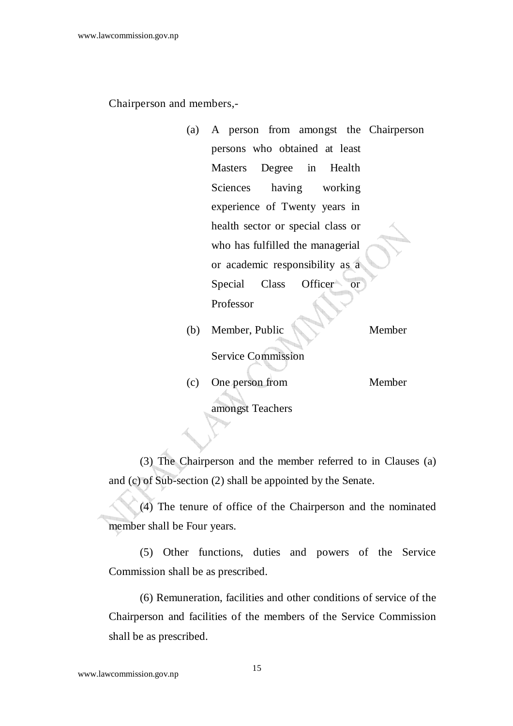Chairperson and members,-

- (a) A person from amongst the Chairperson persons who obtained at least Masters Degree in Health Sciences having working experience of Twenty years in health sector or special class or who has fulfilled the managerial or academic responsibility as a Special Class Officer or Professor
- (b) Member, Public Service Commission Member
- (c) One person from Member

amongst Teachers

(3) The Chairperson and the member referred to in Clauses (a) and (c) of Sub-section (2) shall be appointed by the Senate.

 (4) The tenure of office of the Chairperson and the nominated member shall be Four years.

 (5) Other functions, duties and powers of the Service Commission shall be as prescribed.

 (6) Remuneration, facilities and other conditions of service of the Chairperson and facilities of the members of the Service Commission shall be as prescribed.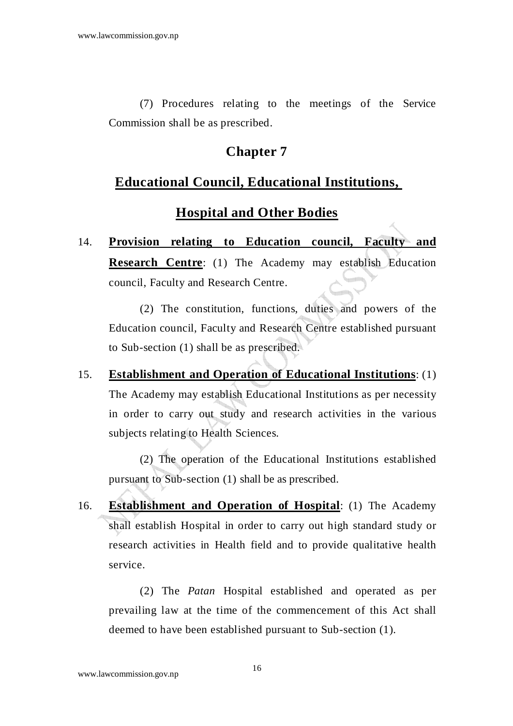(7) Procedures relating to the meetings of the Service Commission shall be as prescribed.

## **Chapter 7**

#### **Educational Council, Educational Institutions,**

## **Hospital and Other Bodies**

14. **Provision relating to Education council, Faculty and Research Centre**: (1) The Academy may establish Education council, Faculty and Research Centre.

 (2) The constitution, functions, duties and powers of the Education council, Faculty and Research Centre established pursuant to Sub-section (1) shall be as prescribed.

15. **Establishment and Operation of Educational Institutions**: (1) The Academy may establish Educational Institutions as per necessity in order to carry out study and research activities in the various subjects relating to Health Sciences.

 (2) The operation of the Educational Institutions established pursuant to Sub-section (1) shall be as prescribed.

16. **Establishment and Operation of Hospital**: (1) The Academy shall establish Hospital in order to carry out high standard study or research activities in Health field and to provide qualitative health service.

 (2) The *Patan* Hospital established and operated as per prevailing law at the time of the commencement of this Act shall deemed to have been established pursuant to Sub-section (1).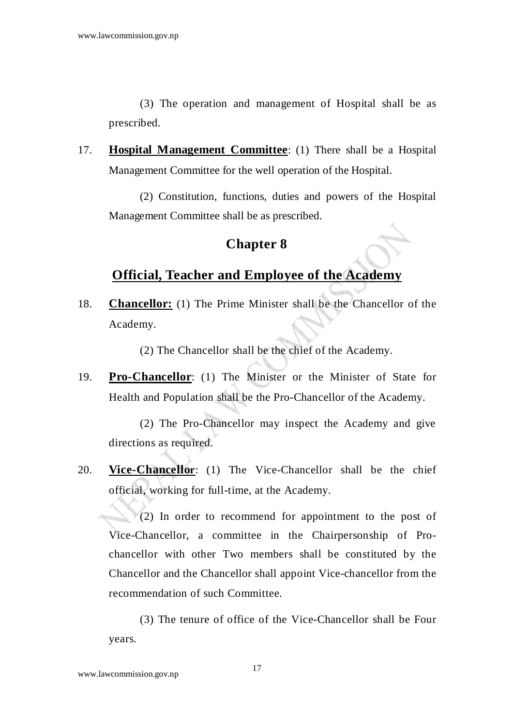(3) The operation and management of Hospital shall be as prescribed.

17. **Hospital Management Committee**: (1) There shall be a Hospital Management Committee for the well operation of the Hospital.

 (2) Constitution, functions, duties and powers of the Hospital Management Committee shall be as prescribed.

#### **Chapter 8**

#### **Official, Teacher and Employee of the Academy**

18. **Chancellor:** (1) The Prime Minister shall be the Chancellor of the Academy.

(2) The Chancellor shall be the chief of the Academy.

19. **Pro-Chancellor**: (1) The Minister or the Minister of State for Health and Population shall be the Pro-Chancellor of the Academy.

 (2) The Pro-Chancellor may inspect the Academy and give directions as required.

20. **Vice-Chancellor**: (1) The Vice-Chancellor shall be the chief official, working for full-time, at the Academy.

 $(2)$  In order to recommend for appointment to the post of Vice-Chancellor, a committee in the Chairpersonship of Prochancellor with other Two members shall be constituted by the Chancellor and the Chancellor shall appoint Vice-chancellor from the recommendation of such Committee.

 (3) The tenure of office of the Vice-Chancellor shall be Four years.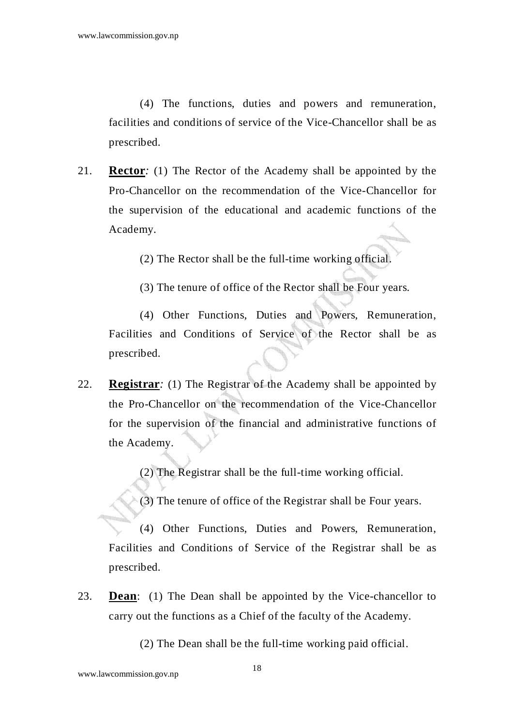(4) The functions, duties and powers and remuneration, facilities and conditions of service of the Vice-Chancellor shall be as prescribed.

21. **Rector***:* (1) The Rector of the Academy shall be appointed by the Pro-Chancellor on the recommendation of the Vice-Chancellor for the supervision of the educational and academic functions of the Academy.

(2) The Rector shall be the full-time working official.

(3) The tenure of office of the Rector shall be Four years.

(4) Other Functions, Duties and Powers, Remuneration, Facilities and Conditions of Service of the Rector shall be as prescribed.

22. **Registrar***:* (1) The Registrar of the Academy shall be appointed by the Pro-Chancellor on the recommendation of the Vice-Chancellor for the supervision of the financial and administrative functions of the Academy.

(2) The Registrar shall be the full-time working official.

(3) The tenure of office of the Registrar shall be Four years.

(4) Other Functions, Duties and Powers, Remuneration, Facilities and Conditions of Service of the Registrar shall be as prescribed.

23. **Dean**: (1) The Dean shall be appointed by the Vice-chancellor to carry out the functions as a Chief of the faculty of the Academy.

(2) The Dean shall be the full-time working paid official.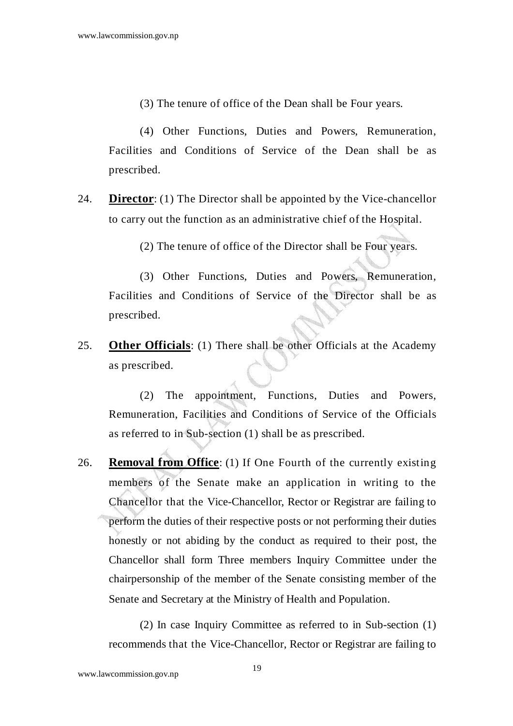(3) The tenure of office of the Dean shall be Four years.

(4) Other Functions, Duties and Powers, Remuneration, Facilities and Conditions of Service of the Dean shall be as prescribed.

24. **Director**: (1) The Director shall be appointed by the Vice-chancellor to carry out the function as an administrative chief of the Hospital.

(2) The tenure of office of the Director shall be Four years.

(3) Other Functions, Duties and Powers, Remuneration, Facilities and Conditions of Service of the Director shall be as prescribed.

25. **Other Officials**: (1) There shall be other Officials at the Academy as prescribed.

(2) The appointment, Functions, Duties and Powers, Remuneration, Facilities and Conditions of Service of the Officials as referred to in Sub-section (1) shall be as prescribed.

26. **Removal from Office**: (1) If One Fourth of the currently existing members of the Senate make an application in writing to the Chancellor that the Vice-Chancellor, Rector or Registrar are failing to perform the duties of their respective posts or not performing their duties honestly or not abiding by the conduct as required to their post, the Chancellor shall form Three members Inquiry Committee under the chairpersonship of the member of the Senate consisting member of the Senate and Secretary at the Ministry of Health and Population.

(2) In case Inquiry Committee as referred to in Sub-section (1) recommends that the Vice-Chancellor, Rector or Registrar are failing to

www.lawcommission.gov.np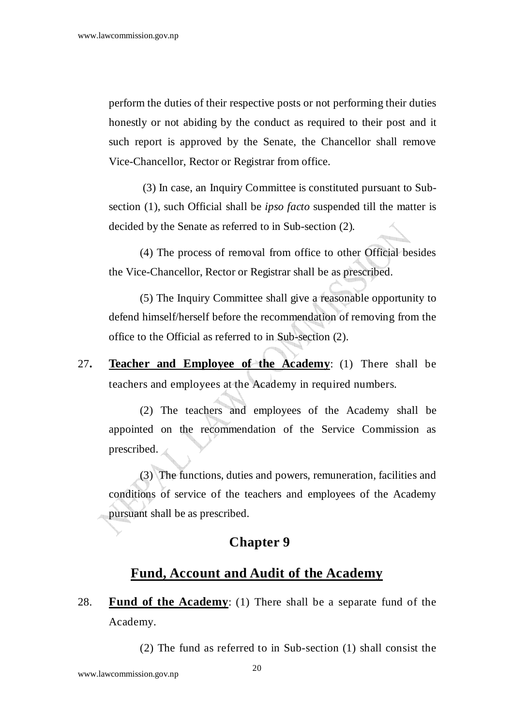perform the duties of their respective posts or not performing their duties honestly or not abiding by the conduct as required to their post and it such report is approved by the Senate, the Chancellor shall remove Vice-Chancellor, Rector or Registrar from office.

 (3) In case, an Inquiry Committee is constituted pursuant to Subsection (1), such Official shall be *ipso facto* suspended till the matter is decided by the Senate as referred to in Sub-section (2).

(4) The process of removal from office to other Official besides the Vice-Chancellor, Rector or Registrar shall be as prescribed.

(5) The Inquiry Committee shall give a reasonable opportunity to defend himself/herself before the recommendation of removing from the office to the Official as referred to in Sub-section (2).

27**. Teacher and Employee of the Academy**: (1) There shall be teachers and employees at the Academy in required numbers.

 (2) The teachers and employees of the Academy shall be appointed on the recommendation of the Service Commission as prescribed.

(3) The functions, duties and powers, remuneration, facilities and conditions of service of the teachers and employees of the Academy pursuant shall be as prescribed.

#### **Chapter 9**

#### **Fund, Account and Audit of the Academy**

28. **Fund of the Academy**: (1) There shall be a separate fund of the Academy.

(2) The fund as referred to in Sub-section (1) shall consist the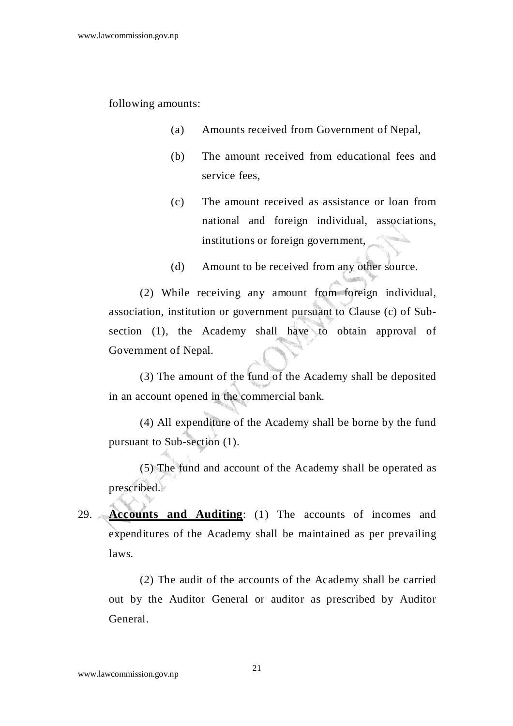following amounts:

- (a) Amounts received from Government of Nepal,
- (b) The amount received from educational fees and service fees,
- (c) The amount received as assistance or loan from national and foreign individual, associations, institutions or foreign government,
- (d) Amount to be received from any other source.

 (2) While receiving any amount from foreign individual, association, institution or government pursuant to Clause (c) of Subsection (1), the Academy shall have to obtain approval of Government of Nepal.

 (3) The amount of the fund of the Academy shall be deposited in an account opened in the commercial bank.

 (4) All expenditure of the Academy shall be borne by the fund pursuant to Sub-section (1).

 (5) The fund and account of the Academy shall be operated as prescribed.

29. **Accounts and Auditing**: (1) The accounts of incomes and expenditures of the Academy shall be maintained as per prevailing laws.

 (2) The audit of the accounts of the Academy shall be carried out by the Auditor General or auditor as prescribed by Auditor General.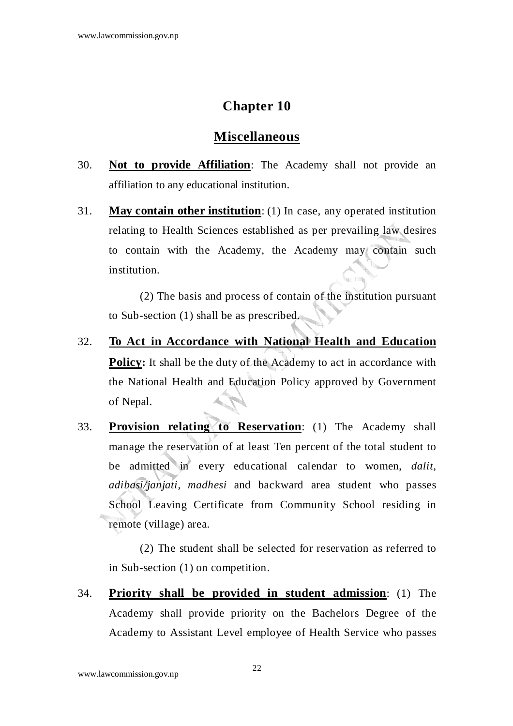#### **Miscellaneous**

- 30. **Not to provide Affiliation**: The Academy shall not provide an affiliation to any educational institution.
- 31. **May contain other institution**: (1) In case, any operated institution relating to Health Sciences established as per prevailing law desires to contain with the Academy, the Academy may contain such institution.

 (2) The basis and process of contain of the institution pursuant to Sub-section (1) shall be as prescribed.

- 32. **To Act in Accordance with National Health and Education Policy:** It shall be the duty of the Academy to act in accordance with the National Health and Education Policy approved by Government of Nepal.
- 33. **Provision relating to Reservation**: (1) The Academy shall manage the reservation of at least Ten percent of the total student to be admitted in every educational calendar to women, *dalit, adibasi/janjati, madhesi* and backward area student who passes School Leaving Certificate from Community School residing in remote (village) area.

 (2) The student shall be selected for reservation as referred to in Sub-section (1) on competition.

34. **Priority shall be provided in student admission**: (1) The Academy shall provide priority on the Bachelors Degree of the Academy to Assistant Level employee of Health Service who passes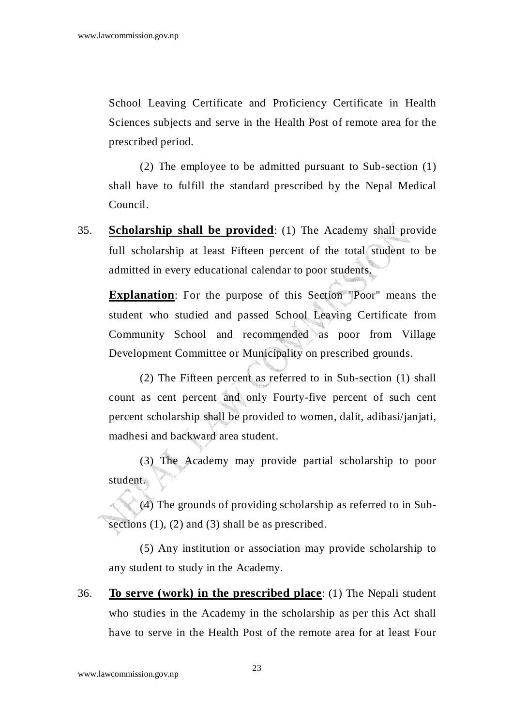School Leaving Certificate and Proficiency Certificate in Health Sciences subjects and serve in the Health Post of remote area for the prescribed period.

 (2) The employee to be admitted pursuant to Sub-section (1) shall have to fulfill the standard prescribed by the Nepal Medical Council.

35. **Scholarship shall be provided**: (1) The Academy shall provide full scholarship at least Fifteen percent of the total student to be admitted in every educational calendar to poor students.

**Explanation**: For the purpose of this Section "Poor" means the student who studied and passed School Leaving Certificate from Community School and recommended as poor from Village Development Committee or Municipality on prescribed grounds.

 (2) The Fifteen percent as referred to in Sub-section (1) shall count as cent percent and only Fourty-five percent of such cent percent scholarship shall be provided to women, dalit, adibasi/janjati, madhesi and backward area student.

 (3) The Academy may provide partial scholarship to poor student.

 (4) The grounds of providing scholarship as referred to in Subsections  $(1)$ ,  $(2)$  and  $(3)$  shall be as prescribed.

 (5) Any institution or association may provide scholarship to any student to study in the Academy.

36. **To serve (work) in the prescribed place**: (1) The Nepali student who studies in the Academy in the scholarship as per this Act shall have to serve in the Health Post of the remote area for at least Four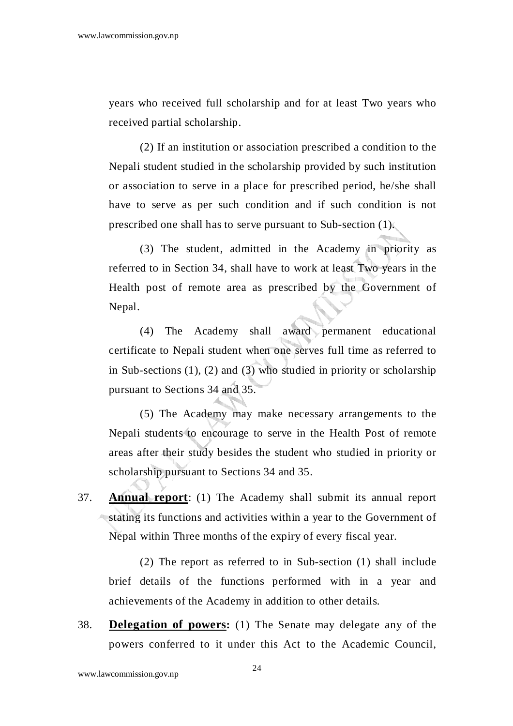years who received full scholarship and for at least Two years who received partial scholarship.

 (2) If an institution or association prescribed a condition to the Nepali student studied in the scholarship provided by such institution or association to serve in a place for prescribed period, he/she shall have to serve as per such condition and if such condition is not prescribed one shall has to serve pursuant to Sub-section (1).

 (3) The student, admitted in the Academy in priority as referred to in Section 34, shall have to work at least Two years in the Health post of remote area as prescribed by the Government of Nepal.

 (4) The Academy shall award permanent educational certificate to Nepali student when one serves full time as referred to in Sub-sections  $(1)$ ,  $(2)$  and  $(3)$  who studied in priority or scholarship pursuant to Sections 34 and 35.

 (5) The Academy may make necessary arrangements to the Nepali students to encourage to serve in the Health Post of remote areas after their study besides the student who studied in priority or scholarship pursuant to Sections 34 and 35.

37. **Annual report**: (1) The Academy shall submit its annual report stating its functions and activities within a year to the Government of Nepal within Three months of the expiry of every fiscal year.

 (2) The report as referred to in Sub-section (1) shall include brief details of the functions performed with in a year and achievements of the Academy in addition to other details.

38. **Delegation of powers:** (1) The Senate may delegate any of the powers conferred to it under this Act to the Academic Council,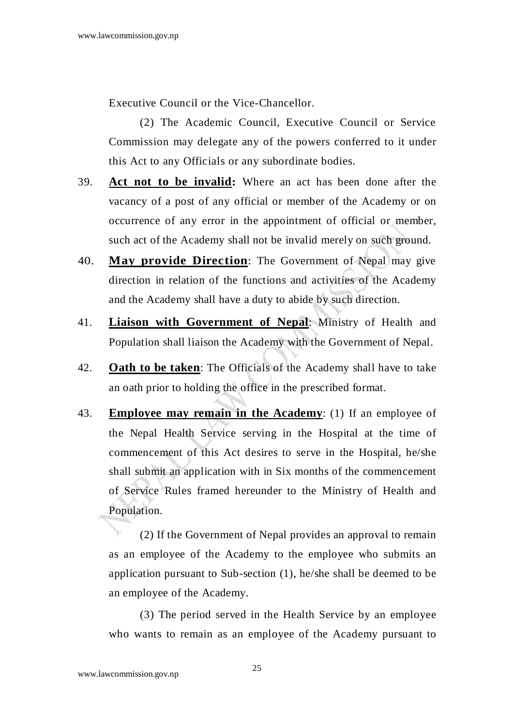Executive Council or the Vice-Chancellor.

(2) The Academic Council, Executive Council or Service Commission may delegate any of the powers conferred to it under this Act to any Officials or any subordinate bodies.

- 39. **Act not to be invalid:** Where an act has been done after the vacancy of a post of any official or member of the Academy or on occurrence of any error in the appointment of official or member, such act of the Academy shall not be invalid merely on such ground.
- 40. **May provide Direction**: The Government of Nepal may give direction in relation of the functions and activities of the Academy and the Academy shall have a duty to abide by such direction.
- 41. **Liaison with Government of Nepal**: Ministry of Health and Population shall liaison the Academy with the Government of Nepal.
- 42. **Oath to be taken**: The Officials of the Academy shall have to take an oath prior to holding the office in the prescribed format.
- 43. **Employee may remain in the Academy**: (1) If an employee of the Nepal Health Service serving in the Hospital at the time of commencement of this Act desires to serve in the Hospital, he/she shall submit an application with in Six months of the commencement of Service Rules framed hereunder to the Ministry of Health and Population.

 (2) If the Government of Nepal provides an approval to remain as an employee of the Academy to the employee who submits an application pursuant to Sub-section (1), he/she shall be deemed to be an employee of the Academy.

 (3) The period served in the Health Service by an employee who wants to remain as an employee of the Academy pursuant to